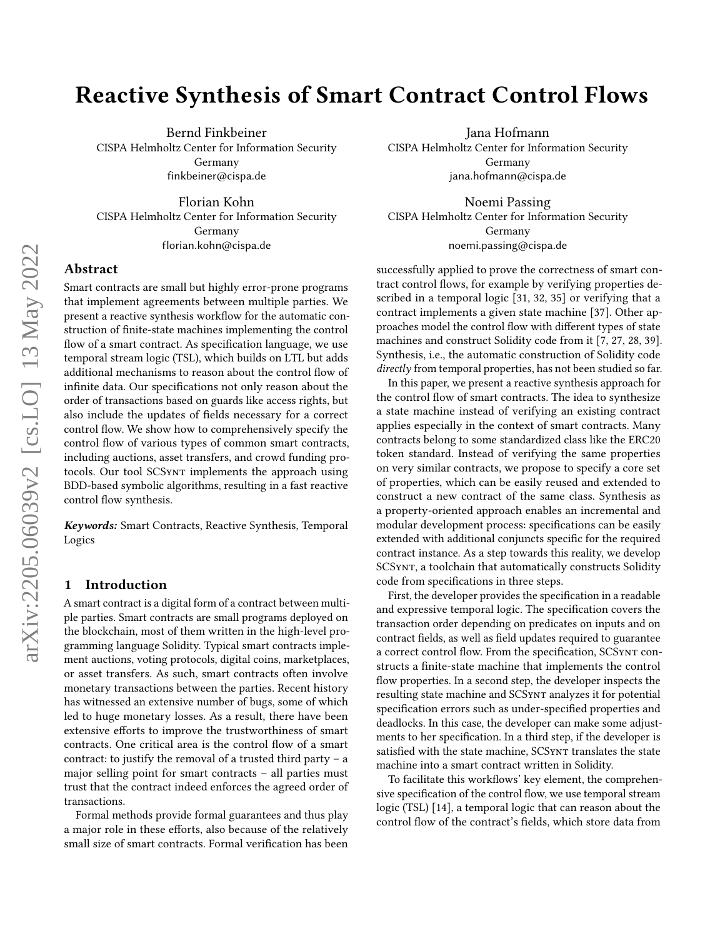# Reactive Synthesis of Smart Contract Control Flows

Bernd Finkbeiner CISPA Helmholtz Center for Information Security Germany finkbeiner@cispa.de

Florian Kohn CISPA Helmholtz Center for Information Security Germany florian.kohn@cispa.de

## Abstract

Smart contracts are small but highly error-prone programs that implement agreements between multiple parties. We present a reactive synthesis workflow for the automatic construction of finite-state machines implementing the control flow of a smart contract. As specification language, we use temporal stream logic (TSL), which builds on LTL but adds additional mechanisms to reason about the control flow of infinite data. Our specifications not only reason about the order of transactions based on guards like access rights, but also include the updates of fields necessary for a correct control flow. We show how to comprehensively specify the control flow of various types of common smart contracts, including auctions, asset transfers, and crowd funding protocols. Our tool SCSynt implements the approach using BDD-based symbolic algorithms, resulting in a fast reactive control flow synthesis.

Keywords: Smart Contracts, Reactive Synthesis, Temporal Logics

# 1 Introduction

A smart contract is a digital form of a contract between multiple parties. Smart contracts are small programs deployed on the blockchain, most of them written in the high-level programming language Solidity. Typical smart contracts implement auctions, voting protocols, digital coins, marketplaces, or asset transfers. As such, smart contracts often involve monetary transactions between the parties. Recent history has witnessed an extensive number of bugs, some of which led to huge monetary losses. As a result, there have been extensive efforts to improve the trustworthiness of smart contracts. One critical area is the control flow of a smart contract: to justify the removal of a trusted third party – a major selling point for smart contracts – all parties must trust that the contract indeed enforces the agreed order of transactions.

Formal methods provide formal guarantees and thus play a major role in these efforts, also because of the relatively small size of smart contracts. Formal verification has been

Jana Hofmann CISPA Helmholtz Center for Information Security Germany jana.hofmann@cispa.de

Noemi Passing CISPA Helmholtz Center for Information Security Germany noemi.passing@cispa.de

successfully applied to prove the correctness of smart contract control flows, for example by verifying properties described in a temporal logic [\[31,](#page-13-0) [32,](#page-13-1) [35\]](#page-13-2) or verifying that a contract implements a given state machine [\[37\]](#page-13-3). Other approaches model the control flow with different types of state machines and construct Solidity code from it [\[7,](#page-12-0) [27,](#page-13-4) [28,](#page-13-5) [39\]](#page-13-6). Synthesis, i.e., the automatic construction of Solidity code directly from temporal properties, has not been studied so far.

In this paper, we present a reactive synthesis approach for the control flow of smart contracts. The idea to synthesize a state machine instead of verifying an existing contract applies especially in the context of smart contracts. Many contracts belong to some standardized class like the ERC20 token standard. Instead of verifying the same properties on very similar contracts, we propose to specify a core set of properties, which can be easily reused and extended to construct a new contract of the same class. Synthesis as a property-oriented approach enables an incremental and modular development process: specifications can be easily extended with additional conjuncts specific for the required contract instance. As a step towards this reality, we develop SCSynt, a toolchain that automatically constructs Solidity code from specifications in three steps.

First, the developer provides the specification in a readable and expressive temporal logic. The specification covers the transaction order depending on predicates on inputs and on contract fields, as well as field updates required to guarantee a correct control flow. From the specification, SCSynt constructs a finite-state machine that implements the control flow properties. In a second step, the developer inspects the resulting state machine and SCSynt analyzes it for potential specification errors such as under-specified properties and deadlocks. In this case, the developer can make some adjustments to her specification. In a third step, if the developer is satisfied with the state machine, SCSynt translates the state machine into a smart contract written in Solidity.

To facilitate this workflows' key element, the comprehensive specification of the control flow, we use temporal stream logic (TSL) [\[14\]](#page-12-1), a temporal logic that can reason about the control flow of the contract's fields, which store data from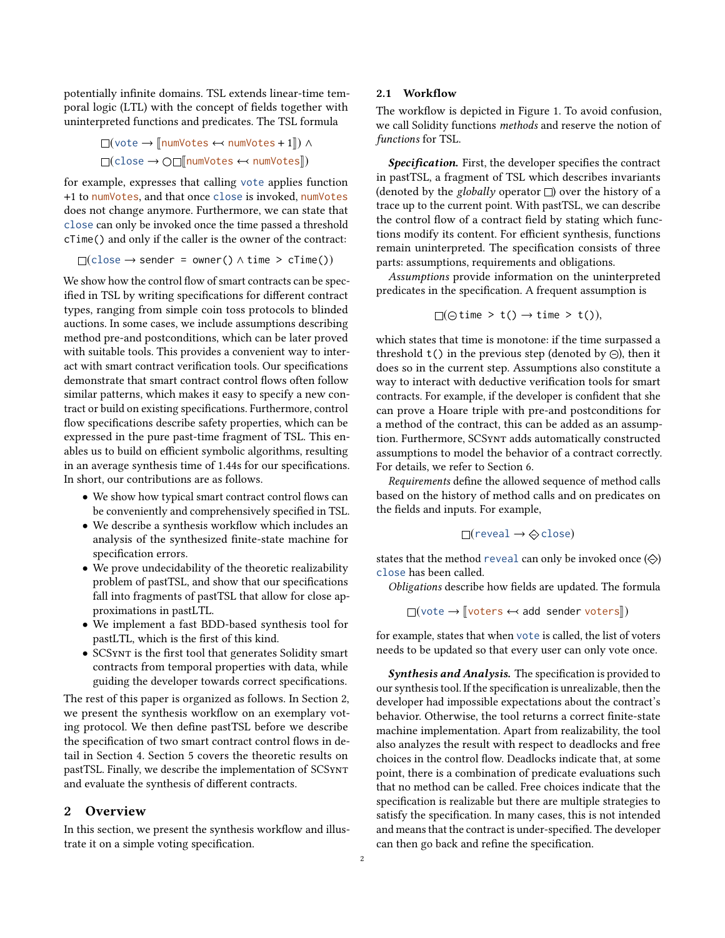potentially infinite domains. TSL extends linear-time temporal logic (LTL) with the concept of fields together with uninterpreted functions and predicates. The TSL formula

$$
\Box(\text{vote} \rightarrow \llbracket \text{numVotes} \leftarrow \text{numVotes} + 1 \rrbracket) \land \Box(\text{close} \rightarrow \bigcirc \Box \llbracket \text{numVotes} \leftarrow \text{numVotes} \rrbracket)
$$

for example, expresses that calling vote applies function +1 to numVotes, and that once close is invoked, numVotes does not change anymore. Furthermore, we can state that close can only be invoked once the time passed a threshold cTime() and only if the caller is the owner of the contract:

$$
\Box(\text{close} \to \text{sender} = \text{owner}() \land \text{time} > \text{cTime}())
$$

We show how the control flow of smart contracts can be specified in TSL by writing specifications for different contract types, ranging from simple coin toss protocols to blinded auctions. In some cases, we include assumptions describing method pre-and postconditions, which can be later proved with suitable tools. This provides a convenient way to interact with smart contract verification tools. Our specifications demonstrate that smart contract control flows often follow similar patterns, which makes it easy to specify a new contract or build on existing specifications. Furthermore, control flow specifications describe safety properties, which can be expressed in the pure past-time fragment of TSL. This enables us to build on efficient symbolic algorithms, resulting in an average synthesis time of 1.44s for our specifications. In short, our contributions are as follows.

- We show how typical smart contract control flows can be conveniently and comprehensively specified in TSL.
- We describe a synthesis workflow which includes an analysis of the synthesized finite-state machine for specification errors.
- We prove undecidability of the theoretic realizability problem of pastTSL, and show that our specifications fall into fragments of pastTSL that allow for close approximations in pastLTL.
- We implement a fast BDD-based synthesis tool for pastLTL, which is the first of this kind.
- SCSynt is the first tool that generates Solidity smart contracts from temporal properties with data, while guiding the developer towards correct specifications.

The rest of this paper is organized as follows. In Section [2,](#page-1-0) we present the synthesis workflow on an exemplary voting protocol. We then define pastTSL before we describe the specification of two smart contract control flows in detail in Section [4.](#page-5-0) Section [5](#page-6-0) covers the theoretic results on pastTSL. Finally, we describe the implementation of SCSynt and evaluate the synthesis of different contracts.

## <span id="page-1-0"></span>2 Overview

In this section, we present the synthesis workflow and illustrate it on a simple voting specification.

#### 2.1 Workflow

The workflow is depicted in Figure [1.](#page-2-0) To avoid confusion, we call Solidity functions methods and reserve the notion of functions for TSL.

Specification. First, the developer specifies the contract in pastTSL, a fragment of TSL which describes invariants (denoted by the globally operator  $\square$ ) over the history of a trace up to the current point. With pastTSL, we can describe the control flow of a contract field by stating which functions modify its content. For efficient synthesis, functions remain uninterpreted. The specification consists of three parts: assumptions, requirements and obligations.

Assumptions provide information on the uninterpreted predicates in the specification. A frequent assumption is

$$
\Box(\ominus \text{time} > t() \rightarrow \text{time} > t());
$$

which states that time is monotone: if the time surpassed a threshold  $t()$  in the previous step (denoted by  $\odot$ ), then it does so in the current step. Assumptions also constitute a way to interact with deductive verification tools for smart contracts. For example, if the developer is confident that she can prove a Hoare triple with pre-and postconditions for a method of the contract, this can be added as an assumption. Furthermore, SCSynt adds automatically constructed assumptions to model the behavior of a contract correctly. For details, we refer to Section [6.](#page-8-0)

Requirements define the allowed sequence of method calls based on the history of method calls and on predicates on the fields and inputs. For example,

$$
\Box(\text{reveal} \rightarrow \bigcirc \text{close})
$$

states that the method reveal can only be invoked once  $(\diamondsuit)$ close has been called.

Obligations describe how fields are updated. The formula

 $\Box$ (vote  $\rightarrow$   $\Box$ voters  $\leftrightarrow$  add sender voters $\Box$ )

for example, states that when vote is called, the list of voters needs to be updated so that every user can only vote once.

Synthesis and Analysis. The specification is provided to our synthesis tool. If the specification is unrealizable, then the developer had impossible expectations about the contract's behavior. Otherwise, the tool returns a correct finite-state machine implementation. Apart from realizability, the tool also analyzes the result with respect to deadlocks and free choices in the control flow. Deadlocks indicate that, at some point, there is a combination of predicate evaluations such that no method can be called. Free choices indicate that the specification is realizable but there are multiple strategies to satisfy the specification. In many cases, this is not intended and means that the contract is under-specified. The developer can then go back and refine the specification.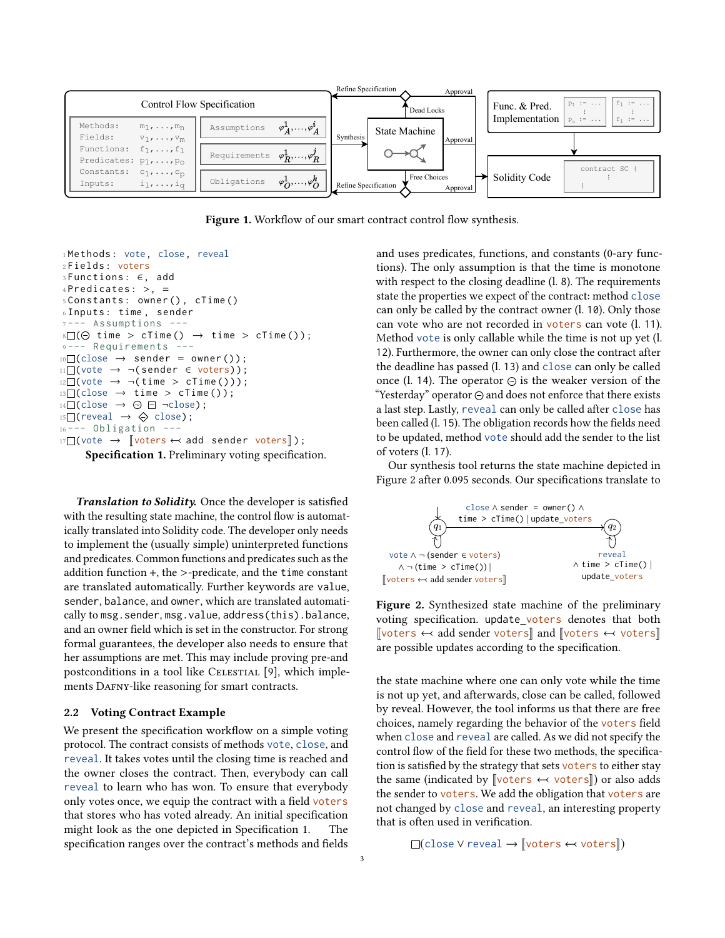<span id="page-2-0"></span>

Figure 1. Workflow of our smart contract control flow synthesis.

```
1Methods: vote, close, reveal
2 Fields : voters
 3 Functions : ∈, add
 4 Predicates: >, =
 5 Constants : owner () , cTime ()
 6 Inputs : time , sender
 7 --- Assumptions ---
\mathbb{R} \square (\ominus \text{ time } > \text{ cTime } () \rightarrow \text{ time } > \text{ cTime } ());- Requirements ---
10 \square(close \rightarrow sender = owner());
11 \square(vote \rightarrow \neg(sender \in voters));
12 \square(vote \rightarrow \neg (time > cTime ()));
13 \square(close \rightarrow time > cTime());
14 \square(close \rightarrow \odot \square \neg \text{close});
15 \square(reveal \rightarrow \diamondsuit close);
16 --- Obligation ---
17 \square(vote \rightarrow [voters \leftarrow add sender voters]);
       Specification 1. Preliminary voting specification.
```
Translation to Solidity. Once the developer is satisfied with the resulting state machine, the control flow is automatically translated into Solidity code. The developer only needs to implement the (usually simple) uninterpreted functions and predicates. Common functions and predicates such as the addition function +, the >-predicate, and the time constant are translated automatically. Further keywords are value, sender, balance, and owner, which are translated automatically to msg.sender, msg.value, address(this).balance, and an owner field which is set in the constructor. For strong formal guarantees, the developer also needs to ensure that her assumptions are met. This may include proving pre-and postconditions in a tool like CELESTIAL [\[9\]](#page-12-2), which implements DAFNY-like reasoning for smart contracts.

### <span id="page-2-3"></span>2.2 Voting Contract Example

We present the specification workflow on a simple voting protocol. The contract consists of methods vote, close, and reveal. It takes votes until the closing time is reached and the owner closes the contract. Then, everybody can call reveal to learn who has won. To ensure that everybody only votes once, we equip the contract with a field voters that stores who has voted already. An initial specification might look as the one depicted in Specification [1.](#page-2-1) The specification ranges over the contract's methods and fields and uses predicates, functions, and constants (0-ary functions). The only assumption is that the time is monotone with respect to the closing deadline (l. 8). The requirements state the properties we expect of the contract: method close can only be called by the contract owner (l. 10). Only those can vote who are not recorded in voters can vote (l. 11). Method vote is only callable while the time is not up yet (l. 12). Furthermore, the owner can only close the contract after the deadline has passed (l. 13) and close can only be called once (l. 14). The operator  $\odot$  is the weaker version of the "Yesterday" operator  $\ominus$  and does not enforce that there exists a last step. Lastly, reveal can only be called after close has been called (l. 15). The obligation records how the fields need to be updated, method vote should add the sender to the list of voters (l. 17).

Our synthesis tool returns the state machine depicted in Figure [2](#page-2-2) after 0.095 seconds. Our specifications translate to

<span id="page-2-2"></span>

Figure 2. Synthesized state machine of the preliminary voting specification. update\_voters denotes that both  $\lbrack \lbrack \text{voters} \rbrack$  and  $\lbrack \lbrack \text{voters} \rbrack$   $\leftrightarrow$  voters are possible updates according to the specification.

the state machine where one can only vote while the time is not up yet, and afterwards, close can be called, followed by reveal. However, the tool informs us that there are free choices, namely regarding the behavior of the voters field when close and reveal are called. As we did not specify the control flow of the field for these two methods, the specification is satisfied by the strategy that sets voters to either stay the same (indicated by  $\sqrt{\text{voters}} \leftrightarrow \text{voters}$ ) or also adds the sender to voters. We add the obligation that voters are not changed by close and reveal, an interesting property that is often used in verification.

 $\Box$ (close V reveal  $\rightarrow$   $\Box$ voters  $\leftrightarrow$  voters $\Box$ )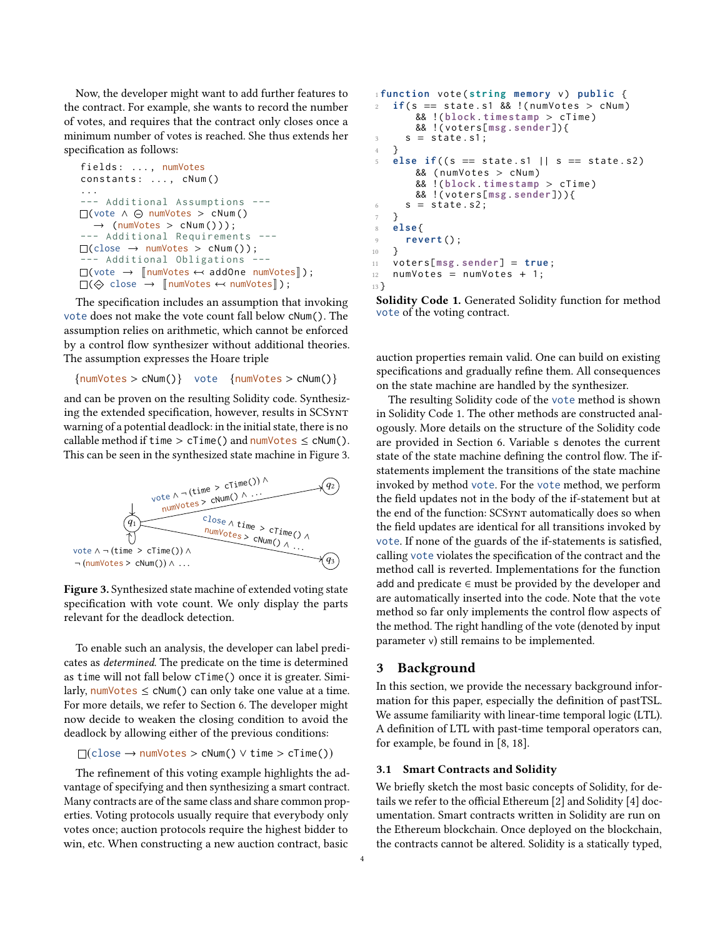Now, the developer might want to add further features to the contract. For example, she wants to record the number of votes, and requires that the contract only closes once a minimum number of votes is reached. She thus extends her specification as follows:

```
fields: ..., numVotes
constants: ..., cNum()
...
--- Additional Assumptions ---
(vote ∧ numVotes > cNum ()
   \rightarrow (numVotes > cNum()));
--- Additional Requirements ---
\Box(close \rightarrow numVotes > cNum());
   - Additional Obligations ---
\Box(vote \rightarrow \BoxnumVotes \leftrightarrow addOne numVotes\Box);
\square(\diamondsuit close \rightarrow \lceilnumVotes \leftrightarrow numVotes\rceil);
```
The specification includes an assumption that invoking vote does not make the vote count fall below cNum(). The assumption relies on arithmetic, which cannot be enforced by a control flow synthesizer without additional theories. The assumption expresses the Hoare triple

 ${\{numVotes > cNum()\}}$  vote  ${\{numVotes > cNum()\}}$ 

and can be proven on the resulting Solidity code. Synthesizing the extended specification, however, results in SCSynt warning of a potential deadlock: in the initial state, there is no callable method if time  $> c$ Time() and numVotes  $\leq$  cNum(). This can be seen in the synthesized state machine in Figure [3.](#page-3-0)

<span id="page-3-0"></span>

Figure 3. Synthesized state machine of extended voting state specification with vote count. We only display the parts relevant for the deadlock detection.

To enable such an analysis, the developer can label predicates as determined. The predicate on the time is determined as time will not fall below cTime() once it is greater. Similarly, numVotes  $\leq$  cNum() can only take one value at a time. For more details, we refer to Section [6.](#page-8-0) The developer might now decide to weaken the closing condition to avoid the deadlock by allowing either of the previous conditions:

 $\Box$ (close  $\rightarrow$  numVotes > cNum()  $\lor$  time > cTime())

The refinement of this voting example highlights the advantage of specifying and then synthesizing a smart contract. Many contracts are of the same class and share common properties. Voting protocols usually require that everybody only votes once; auction protocols require the highest bidder to win, etc. When constructing a new auction contract, basic

```
1 function vote ( string memory v) public {
2 \text{ if } (s == state.s1 \& (numVotes > cNum))&& !( block . timestamp > cTime )
        && !( voters[msg . sender]) {
3 \quad S = \text{state} \cdot \text{s1};4 }
5 else if((s == state.s1 || s == state.s2)&& ( numVotes > cNum )
        && !( block . timestamp > cTime )
        && !( voters[msg . sender]) ) {
\circ s = state.s2;
7 }
8 else {
9 revert () ;
10 }
11 voters[msg . sender] = true ;
12 numVotes = numVotes + 1;
13 }
```
Solidity Code 1. Generated Solidity function for method vote of the voting contract.

auction properties remain valid. One can build on existing specifications and gradually refine them. All consequences on the state machine are handled by the synthesizer.

The resulting Solidity code of the vote method is shown in Solidity Code [1.](#page-2-1) The other methods are constructed analogously. More details on the structure of the Solidity code are provided in Section [6.](#page-8-0) Variable s denotes the current state of the state machine defining the control flow. The ifstatements implement the transitions of the state machine invoked by method vote. For the vote method, we perform the field updates not in the body of the if-statement but at the end of the function: SCSynt automatically does so when the field updates are identical for all transitions invoked by vote. If none of the guards of the if-statements is satisfied, calling vote violates the specification of the contract and the method call is reverted. Implementations for the function add and predicate  $\in$  must be provided by the developer and are automatically inserted into the code. Note that the vote method so far only implements the control flow aspects of the method. The right handling of the vote (denoted by input parameter v) still remains to be implemented.

### 3 Background

In this section, we provide the necessary background information for this paper, especially the definition of pastTSL. We assume familiarity with linear-time temporal logic (LTL). A definition of LTL with past-time temporal operators can, for example, be found in [\[8,](#page-12-3) [18\]](#page-12-4).

## 3.1 Smart Contracts and Solidity

We briefly sketch the most basic concepts of Solidity, for details we refer to the official Ethereum [\[2\]](#page-12-5) and Solidity [\[4\]](#page-12-6) documentation. Smart contracts written in Solidity are run on the Ethereum blockchain. Once deployed on the blockchain, the contracts cannot be altered. Solidity is a statically typed,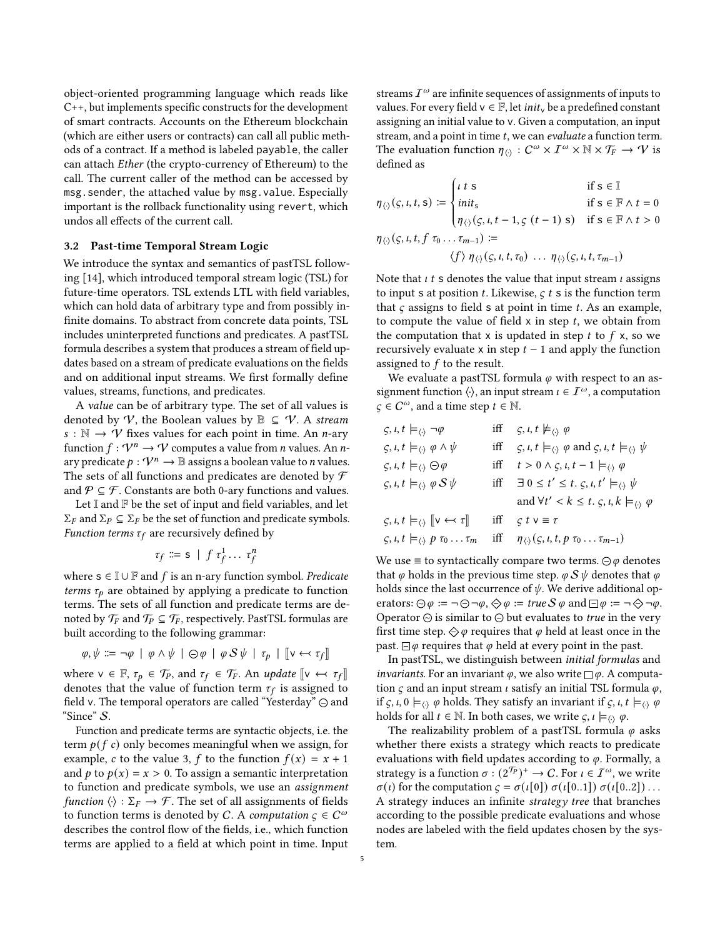object-oriented programming language which reads like C++, but implements specific constructs for the development of smart contracts. Accounts on the Ethereum blockchain (which are either users or contracts) can call all public methods of a contract. If a method is labeled payable, the caller can attach Ether (the crypto-currency of Ethereum) to the call. The current caller of the method can be accessed by msg.sender, the attached value by msg.value. Especially important is the rollback functionality using revert, which undos all effects of the current call.

#### 3.2 Past-time Temporal Stream Logic

We introduce the syntax and semantics of pastTSL following [\[14\]](#page-12-1), which introduced temporal stream logic (TSL) for future-time operators. TSL extends LTL with field variables, which can hold data of arbitrary type and from possibly infinite domains. To abstract from concrete data points, TSL includes uninterpreted functions and predicates. A pastTSL formula describes a system that produces a stream of field updates based on a stream of predicate evaluations on the fields and on additional input streams. We first formally define values, streams, functions, and predicates.

A value can be of arbitrary type. The set of all values is denoted by  $V$ , the Boolean values by  $\mathbb{B} \subseteq V$ . A stream  $s : \mathbb{N} \to \mathcal{V}$  fixes values for each point in time. An *n*-ary function  $f: \mathcal{V}^n \to \mathcal{V}$  computes a value from *n* values. An *n*ary predicate  $p: \mathcal{V}^n \to \mathbb{B}$  assigns a boolean value to *n* values. The sets of all functions and predicates are denoted by  $\mathcal F$ and  $\mathcal{P} \subseteq \mathcal{F}$ . Constants are both 0-ary functions and values.

Let  $\mathbb I$  and  $\mathbb F$  be the set of input and field variables, and let  $\Sigma_F$  and  $\Sigma_P \subseteq \Sigma_F$  be the set of function and predicate symbols. *Function terms*  $\tau_f$  are recursively defined by

$$
\tau_f \coloneqq s \mid f \tau_f^1 \dots \tau_f^n
$$

where  $s \in \mathbb{I} \cup \mathbb{F}$  and f is an n-ary function symbol. Predicate terms  $\tau_p$  are obtained by applying a predicate to function terms. The sets of all function and predicate terms are denoted by  $\mathcal{T}_F$  and  $\mathcal{T}_P \subseteq \mathcal{T}_F$ , respectively. PastTSL formulas are built according to the following grammar:

$$
\varphi, \psi ::= \neg \varphi \mid \varphi \land \psi \mid \ominus \varphi \mid \varphi S \psi \mid \tau_p \mid [\![v \leftrightarrow \tau_f]\!]
$$

where  $v \in \mathbb{F}$ ,  $\tau_p \in \mathcal{T}_P$ , and  $\tau_f \in \mathcal{T}_F$ . An update  $[v \leftrightarrow \tau_f]$ denotes that the value of function term  $\tau_f$  is assigned to field v. The temporal operators are called "Yesterday"  $\ominus$  and "Since" S.

Function and predicate terms are syntactic objects, i.e. the term  $p(f c)$  only becomes meaningful when we assign, for example, c to the value 3, f to the function  $f(x) = x + 1$ and  $p$  to  $p(x) = x > 0$ . To assign a semantic interpretation to function and predicate symbols, we use an assignment function  $\langle \cdot \rangle : \Sigma_F \to \mathcal{F}$ . The set of all assignments of fields to function terms is denoted by C. A computation  $\varsigma \in C^{\omega}$ describes the control flow of the fields, i.e., which function terms are applied to a field at which point in time. Input

streams  $I^{\omega}$  are infinite sequences of assignments of inputs to values. For every field  $v \in \mathbb{F}$ , let *init*<sub>v</sub> be a predefined constant assigning an initial value to v. Given a computation, an input stream, and a point in time  $t$ , we can evaluate a function term. The evaluation function  $\eta_{\langle \cdot \rangle}: C^{\omega} \times I^{\omega} \times \mathbb{N} \times \mathcal{T}_F \to \mathcal{V}$  is defined as

$$
\eta_{\langle\rangle}(s, t, t, s) := \begin{cases} t \ t \ s & \text{if } s \in \mathbb{I} \\ init_s & \text{if } s \in \mathbb{F} \land t = 0 \\ \eta_{\langle\rangle}(s, t, t - 1, s(t - 1) s) & \text{if } s \in \mathbb{F} \land t > 0 \end{cases}
$$

$$
\eta_{\langle\rangle}(s, t, t, f \tau_0 ... \tau_{m-1}) := \langle f \rangle \eta_{\langle\rangle}(s, t, t, \tau_0) ... \eta_{\langle\rangle}(s, t, t, \tau_{m-1})
$$

Note that  $\iota t$  s denotes the value that input stream  $\iota$  assigns to input s at position  $t$ . Likewise,  $\varsigma$   $t$  s is the function term that  $\varsigma$  assigns to field s at point in time  $t$ . As an example, to compute the value of field  $x$  in step  $t$ , we obtain from the computation that x is updated in step  $t$  to  $f$  x, so we recursively evaluate x in step  $t - 1$  and apply the function assigned to  $f$  to the result.

We evaluate a pastTSL formula  $\varphi$  with respect to an assignment function  $\langle \cdot \rangle$ , an input stream  $\iota \in \mathcal{I}^{\omega}$ , a computation  $\varsigma \in C^{\omega}$ , and a time step  $t \in \mathbb{N}$ .

| $\zeta, \iota, t \models_{\langle \cdot \rangle} \neg \varphi$             | iff $\varsigma, \iota, t \nvDash_{\langle \cdot \rangle} \varphi$                                                                |
|----------------------------------------------------------------------------|----------------------------------------------------------------------------------------------------------------------------------|
| $\zeta, \iota, t \models_{\langle \cdot \rangle} \varphi \wedge \psi$      | iff $\varsigma, \iota, t \models_{\langle \cdot \rangle} \varphi$ and $\varsigma, \iota, t \models_{\langle \cdot \rangle} \psi$ |
| $\zeta, \iota, t \models_{\langle \cdot \rangle} \ominus \varphi$          | iff $t > 0 \wedge \varsigma, \iota, t - 1 \models_{\langle \cdot \rangle} \varphi$                                               |
| $\zeta, \iota, t \models_{\langle \cdot \rangle} \varphi S \psi$           | iff $\exists 0 \leq t' \leq t$ . $\varsigma$ , $\iota$ , $t' \models_{\langle \cdot \rangle} \psi$                               |
|                                                                            | and $\forall t' < k \leq t$ . $\varsigma$ , $\iota$ , $k \models_{\langle \cdot \rangle} \varphi$                                |
| $\zeta, \iota, t \models_{\langle \cdot \rangle} [v \leftrightarrow \tau]$ | iff $\zeta t v \equiv \tau$                                                                                                      |
| $\zeta, i, t \models_{\langle \cdot \rangle} p \tau_0 \ldots \tau_m$       | iff $\eta_{\langle \rangle}(\varsigma, \iota, t, p \tau_0 \dots \tau_{m-1})$                                                     |

We use  $\equiv$  to syntactically compare two terms.  $\ominus \varphi$  denotes that  $\varphi$  holds in the previous time step.  $\varphi S \psi$  denotes that  $\varphi$ holds since the last occurrence of  $\psi$ . We derive additional operators:  $\odot \varphi := \neg \odot \neg \varphi$ ,  $\diamondsuit \varphi := true \, S \, \varphi$  and  $\Box \varphi := \neg \diamondsuit \neg \varphi$ . Operator  $\odot$  is similar to  $\odot$  but evaluates to true in the very first time step.  $\Diamond \varphi$  requires that  $\varphi$  held at least once in the past.  $\Box \varphi$  requires that  $\varphi$  held at every point in the past.

In pastTSL, we distinguish between initial formulas and *invariants*. For an invariant  $\varphi$ , we also write  $\Box \varphi$ . A computation  $\varsigma$  and an input stream  $\iota$  satisfy an initial TSL formula  $\varphi$ , if  $\zeta$ ,  $i, 0 \models_{\langle \cdot \rangle} \varphi$  holds. They satisfy an invariant if  $\zeta$ ,  $i, t \models_{\langle \cdot \rangle} \varphi$ holds for all  $t \in \mathbb{N}$ . In both cases, we write  $\zeta, \iota \models_{\langle \cdot \rangle} \varphi$ .

The realizability problem of a pastTSL formula  $\varphi$  asks whether there exists a strategy which reacts to predicate evaluations with field updates according to  $\varphi$ . Formally, a strategy is a function  $\sigma : (2^{\mathcal{T}_P})^+ \to C$ . For  $\iota \in \mathcal{I}^\omega$ , we write  $\sigma(\iota)$  for the computation  $\varsigma = \sigma(\iota[0]) \sigma(\iota[0..1]) \sigma(\iota[0..2]) \dots$ A strategy induces an infinite strategy tree that branches according to the possible predicate evaluations and whose nodes are labeled with the field updates chosen by the system.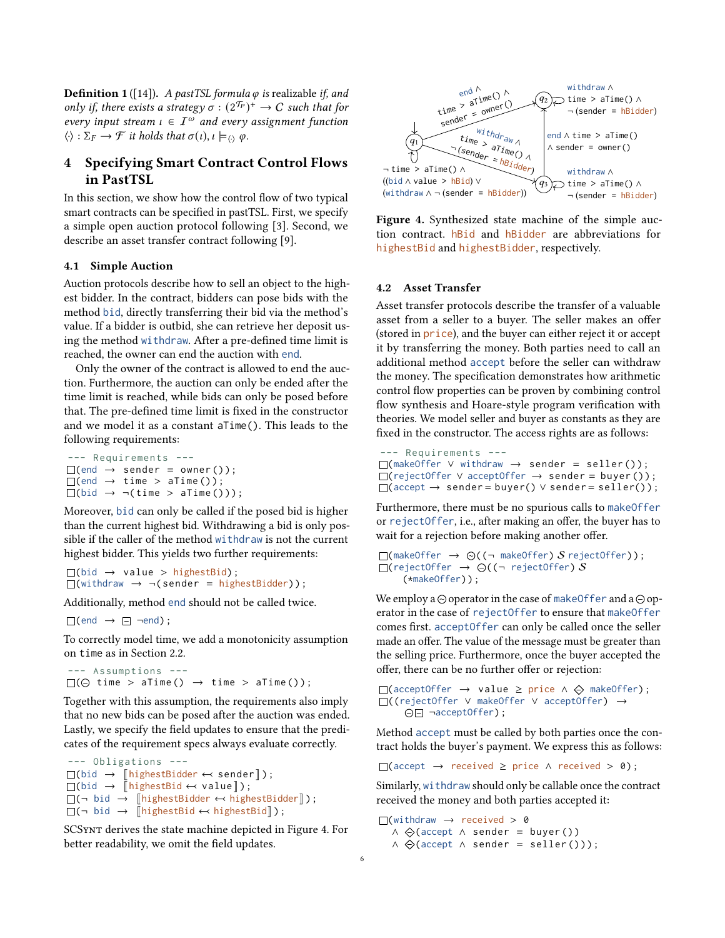**Definition 1** ([\[14\]](#page-12-1)). A pastTSL formula  $\varphi$  is realizable if, and only if, there exists a strategy  $\sigma : (2^{T_P})^+ \to C$  such that for every input stream  $\iota \in \mathcal{I}^{\omega}$  and every assignment function  $\langle \cdot \rangle : \Sigma_F \to \mathcal{F}$  it holds that  $\sigma(\iota), \iota \models_{\langle \cdot \rangle} \varphi$ .

# <span id="page-5-0"></span>4 Specifying Smart Contract Control Flows in PastTSL

In this section, we show how the control flow of two typical smart contracts can be specified in pastTSL. First, we specify a simple open auction protocol following [\[3\]](#page-12-7). Second, we describe an asset transfer contract following [\[9\]](#page-12-2).

### 4.1 Simple Auction

Auction protocols describe how to sell an object to the highest bidder. In the contract, bidders can pose bids with the method bid, directly transferring their bid via the method's value. If a bidder is outbid, she can retrieve her deposit using the method withdraw. After a pre-defined time limit is reached, the owner can end the auction with end.

Only the owner of the contract is allowed to end the auction. Furthermore, the auction can only be ended after the time limit is reached, while bids can only be posed before that. The pre-defined time limit is fixed in the constructor and we model it as a constant aTime(). This leads to the following requirements:

```
--- Requirements ---
\Box(end \rightarrow sender = owner());
\Box(end \rightarrow time > aTime());
\Box(bid \rightarrow \neg(time > aTime()));
```
Moreover, bid can only be called if the posed bid is higher than the current highest bid. Withdrawing a bid is only possible if the caller of the method withdraw is not the current highest bidder. This yields two further requirements:

```
\Box(bid \rightarrow value > highestBid);
\Box(withdraw \rightarrow \neg (sender = highestBidder));
```
Additionally, method end should not be called twice.

 $\Box$ (end  $\rightarrow$   $\Box$  ¬end);

To correctly model time, we add a monotonicity assumption on time as in Section [2.2.](#page-2-3)

```
--- Assumptions ---
\square(\ominus time > aTime () \rightarrow time > aTime ());
```
Together with this assumption, the requirements also imply that no new bids can be posed after the auction was ended. Lastly, we specify the field updates to ensure that the predicates of the requirement specs always evaluate correctly.

```
--- Obligations ---
\Box(bid \rightarrow [highestBidder \leftrightarrow sender]);
\Box(bid \rightarrow \bar{\parallel}highestBid \leftrightarrow value\parallel);
\Box(¬ bid \rightarrow \BoxhighestBidder \leftrightarrow highestBidder\Box);
\Box(¬ bid → [\BoxhighestBid \leftrightarrow highestBid\Box);
```
SCSynt derives the state machine depicted in Figure [4.](#page-5-1) For better readability, we omit the field updates.

<span id="page-5-1"></span>

Figure 4. Synthesized state machine of the simple auction contract. hBid and hBidder are abbreviations for highestBid and highestBidder, respectively.

#### <span id="page-5-2"></span>4.2 Asset Transfer

Asset transfer protocols describe the transfer of a valuable asset from a seller to a buyer. The seller makes an offer (stored in price), and the buyer can either reject it or accept it by transferring the money. Both parties need to call an additional method accept before the seller can withdraw the money. The specification demonstrates how arithmetic control flow properties can be proven by combining control flow synthesis and Hoare-style program verification with theories. We model seller and buyer as constants as they are fixed in the constructor. The access rights are as follows:

```
--- Requirements ---
(makeOffer ∨ withdraw → sender = seller () ) ;
(rejectOffer ∨ acceptOffer → sender = buyer () ) ;
\Box(accept \rightarrow sender = buyer() \lor sender = seller());
```
Furthermore, there must be no spurious calls to makeOffer or rejectOffer, i.e., after making an offer, the buyer has to wait for a rejection before making another offer.

```
\Box(makeOffer \rightarrow \odot ((\neg makeOffer) S rejectOffer));
\Box(rejectOffer \rightarrow \ominus ((\neg rejectOffer) S
      (*makeOffer) ) ;
```
We employ a  $\odot$  operator in the case of makeOffer and a  $\odot$  operator in the case of rejectOffer to ensure that makeOffer comes first. acceptOffer can only be called once the seller made an offer. The value of the message must be greater than the selling price. Furthermore, once the buyer accepted the offer, there can be no further offer or rejection:

```
\Box(acceptOffer \rightarrow value \geq price \land \Leftrightarrow makeOffer);
((rejectOffer ∨ makeOffer ∨ acceptOffer) →
     ¬acceptOffer) ;
```
Method accept must be called by both parties once the contract holds the buyer's payment. We express this as follows:

 $\Box$ (accept  $\rightarrow$  received  $\geq$  price  $\land$  received  $>$  0);

Similarly, withdraw should only be callable once the contract received the money and both parties accepted it:

 $\Box$ (withdraw  $\rightarrow$  received > 0 ∧ (accept ∧ sender = buyer () )  $\wedge \bigoplus$ (accept  $\wedge$  sender = seller()));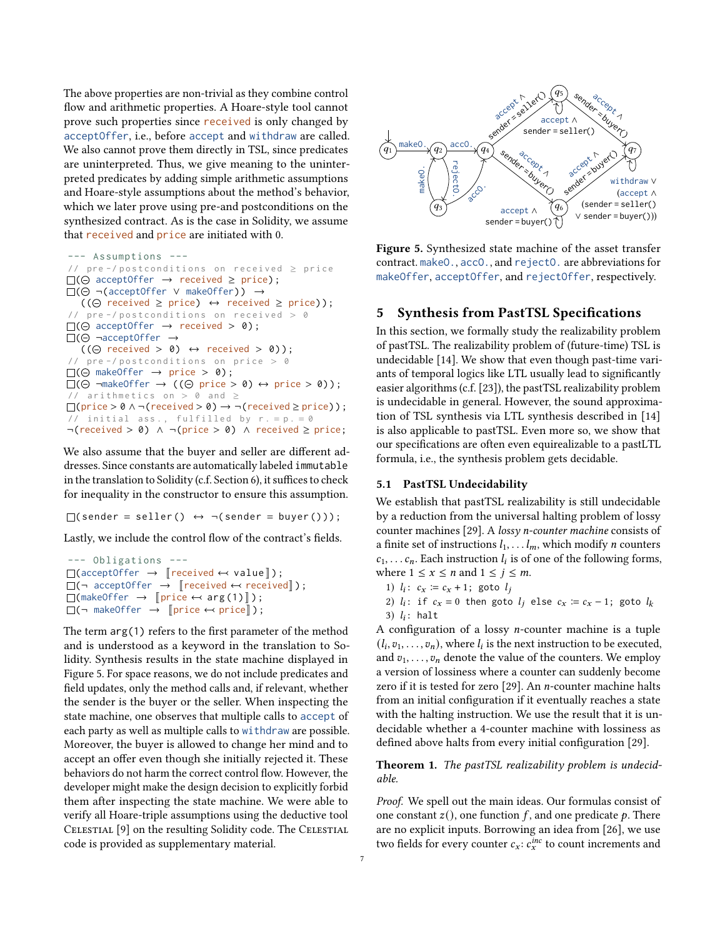The above properties are non-trivial as they combine control flow and arithmetic properties. A Hoare-style tool cannot prove such properties since received is only changed by acceptOffer, i.e., before accept and withdraw are called. We also cannot prove them directly in TSL, since predicates are uninterpreted. Thus, we give meaning to the uninterpreted predicates by adding simple arithmetic assumptions and Hoare-style assumptions about the method's behavior, which we later prove using pre-and postconditions on the synthesized contract. As is the case in Solidity, we assume that received and price are initiated with 0.

```
--- Assumptions ---
// pre -/ postconditions on received \ge price
\square(\ominus acceptOffer \rightarrow received \geq price);
( ¬(acceptOffer ∨ makeOffer) ) →
   ((\ominus received \ge price) \leftrightarrow received \ge price));
// pre -/ postconditions on received > 0\square(\ominus acceptOffer \rightarrow received > 0);
\square(\ominus ¬acceptOffer \rightarrow((\ominus \text{ received } > 0) \leftrightarrow \text{ received } > 0));pre - / postconditions on price > 0
\square(\ominus makeOffer \rightarrow price > 0);
\square(\ominus \negmakeOffer \rightarrow ((\ominus price > 0) \Leftrightarrow price > 0));
// arithmetics on > 0 and \ge\Box(price > 0 \land \neg(received > 0) \rightarrow \neg (received \ge price));
// initial ass., fulfilled by r = p = 0¬(received > 0) ∧ ¬(price > 0) ∧ received ≥ price;
```
We also assume that the buyer and seller are different addresses. Since constants are automatically labeled immutable in the translation to Solidity (c.f. Section [6\)](#page-8-0), it suffices to check for inequality in the constructor to ensure this assumption.

 $\Box$ ( sender = seller ()  $\leftrightarrow \neg$  (sender = buyer ()));

Lastly, we include the control flow of the contract's fields.

```
--- Obligations ---
\Box(acceptOffer \rightarrow [received \leftrightarrow value]);
\Box(\neg acceptOffer \rightarrow [received \leftrightarrow received]);
\Box(makeOffer \rightarrow \lbrackprice \leftrightarrow arg(1)\rbrack);
\square(¬ makeOffer \rightarrow [price \leftarrow price]);
```
The term arg(1) refers to the first parameter of the method and is understood as a keyword in the translation to Solidity. Synthesis results in the state machine displayed in Figure [5.](#page-6-1) For space reasons, we do not include predicates and field updates, only the method calls and, if relevant, whether the sender is the buyer or the seller. When inspecting the state machine, one observes that multiple calls to accept of each party as well as multiple calls to withdraw are possible. Moreover, the buyer is allowed to change her mind and to accept an offer even though she initially rejected it. These behaviors do not harm the correct control flow. However, the developer might make the design decision to explicitly forbid them after inspecting the state machine. We were able to verify all Hoare-triple assumptions using the deductive tool CELESTIAL [\[9\]](#page-12-2) on the resulting Solidity code. The CELESTIAL code is provided as supplementary material.

<span id="page-6-1"></span>

Figure 5. Synthesized state machine of the asset transfer contract. makeO., accO., and rejectO. are abbreviations for makeOffer, acceptOffer, and rejectOffer, respectively.

# <span id="page-6-0"></span>5 Synthesis from PastTSL Specifications

In this section, we formally study the realizability problem of pastTSL. The realizability problem of (future-time) TSL is undecidable [\[14\]](#page-12-1). We show that even though past-time variants of temporal logics like LTL usually lead to significantly easier algorithms (c.f. [\[23\]](#page-12-8)), the pastTSL realizability problem is undecidable in general. However, the sound approximation of TSL synthesis via LTL synthesis described in [\[14\]](#page-12-1) is also applicable to pastTSL. Even more so, we show that our specifications are often even equirealizable to a pastLTL formula, i.e., the synthesis problem gets decidable.

#### 5.1 PastTSL Undecidability

We establish that pastTSL realizability is still undecidable by a reduction from the universal halting problem of lossy counter machines [\[29\]](#page-13-7). A lossy n-counter machine consists of a finite set of instructions  $l_1, \ldots l_m$ , which modify *n* counters  $c_1, \ldots c_n$ . Each instruction  $l_i$  is of one of the following forms, where  $1 \le x \le n$  and  $1 \le j \le m$ .

- 1)  $l_i$ :  $c_x := c_x + 1$ ; goto  $l_i$
- 2)  $l_i$ : if  $c_x = 0$  then goto  $l_j$  else  $c_x := c_x 1$ ; goto  $l_k$ 3)  $l_i$ : halt

A configuration of a lossy *n*-counter machine is a tuple  $(l_i, v_1, \ldots, v_n)$ , where  $l_i$  is the next instruction to be executed, and  $v_1, \ldots, v_n$  denote the value of the counters. We employ a version of lossiness where a counter can suddenly become zero if it is tested for zero  $[29]$ . An *n*-counter machine halts from an initial configuration if it eventually reaches a state with the halting instruction. We use the result that it is undecidable whether a 4-counter machine with lossiness as defined above halts from every initial configuration [\[29\]](#page-13-7).

### Theorem 1. The pastTSL realizability problem is undecidable.

Proof. We spell out the main ideas. Our formulas consist of one constant  $z($ ), one function  $f$ , and one predicate  $p$ . There are no explicit inputs. Borrowing an idea from [\[26\]](#page-13-8), we use two fields for every counter  $c_x$ :  $c_x^{inc}$  to count increments and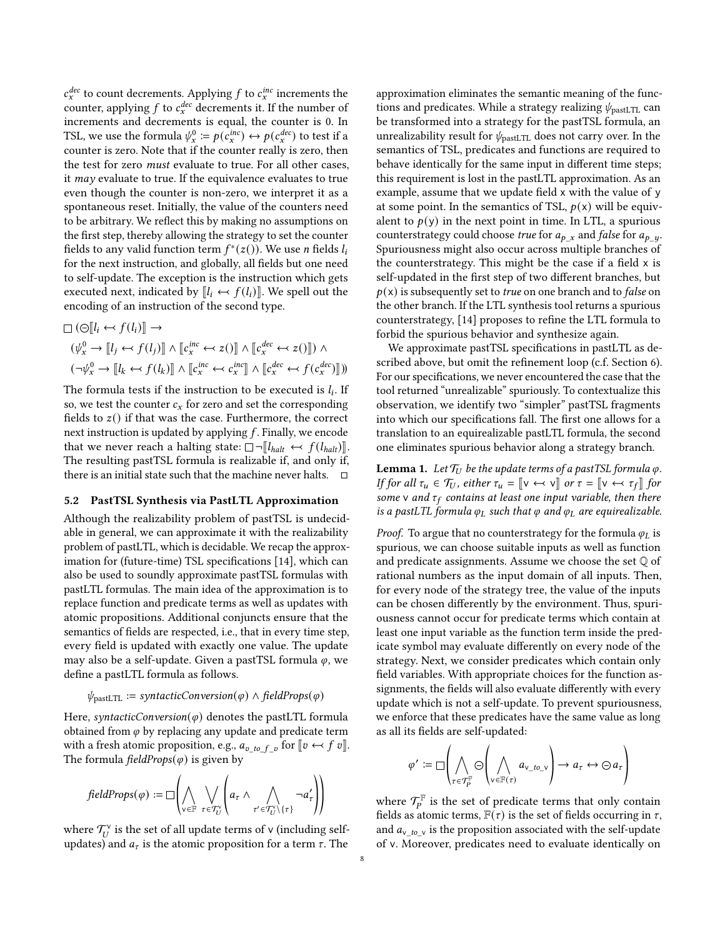$c_x^{dec}$  to count decrements. Applying f to  $c_x^{inc}$  increments the counter, applying  $f$  to  $c_x^{dec}$  decrements it. If the number of increments and decrements is equal, the counter is 0. In TSL, we use the formula  $\psi^0_x \coloneqq p(\epsilon^{inc}_x) \leftrightarrow p(\epsilon^{dec}_x)$  to test if a counter is zero. Note that if the counter really is zero, then the test for zero must evaluate to true. For all other cases, it may evaluate to true. If the equivalence evaluates to true even though the counter is non-zero, we interpret it as a spontaneous reset. Initially, the value of the counters need to be arbitrary. We reflect this by making no assumptions on the first step, thereby allowing the strategy to set the counter fields to any valid function term  $f^*(z())$ . We use n fields  $l_i$ for the next instruction, and globally, all fields but one need to self-update. The exception is the instruction which gets executed next, indicated by  $\llbracket l_i \leftrightarrow f(l_i) \rrbracket$ . We spell out the encoding of an instruction of the second type.

$$
\Box (\odot [l_i \leftrightarrow f(l_i)] \rightarrow
$$
  
\n
$$
(\psi_x^0 \rightarrow [l_j \leftrightarrow f(l_j)] \land [c_x^{inc} \leftrightarrow z()] \land [c_x^{dec} \leftrightarrow z()]) \land
$$
  
\n
$$
(\neg \psi_x^0 \rightarrow [l_k \leftrightarrow f(l_k)] \land [c_x^{inc} \leftrightarrow c_x^{inc}] \land [c_x^{dec} \leftrightarrow f(c_x^{dec})])
$$

The formula tests if the instruction to be executed is  $l_i$ . If so, we test the counter  $c_x$  for zero and set the corresponding fields to  $z()$  if that was the case. Furthermore, the correct next instruction is updated by applying  $f$ . Finally, we encode that we never reach a halting state:  $\Box \neg \llbracket l_{halt} \leftrightarrow f(l_{halt}) \rrbracket$ . The resulting pastTSL formula is realizable if, and only if, there is an initial state such that the machine never halts.  $\square$ 

### <span id="page-7-1"></span>5.2 PastTSL Synthesis via PastLTL Approximation

Although the realizability problem of pastTSL is undecidable in general, we can approximate it with the realizability problem of pastLTL, which is decidable. We recap the approximation for (future-time) TSL specifications [\[14\]](#page-12-1), which can also be used to soundly approximate pastTSL formulas with pastLTL formulas. The main idea of the approximation is to replace function and predicate terms as well as updates with atomic propositions. Additional conjuncts ensure that the semantics of fields are respected, i.e., that in every time step, every field is updated with exactly one value. The update may also be a self-update. Given a pastTSL formula  $\varphi$ , we define a pastLTL formula as follows.

$$
\psi_{\text{pastLTL}} := syntactic Conversion(\varphi) \land fieldProps(\varphi)
$$

Here, syntacticConversion( $\varphi$ ) denotes the pastLTL formula obtained from  $\varphi$  by replacing any update and predicate term with a fresh atomic proposition, e.g.,  $a_{v\_to} f_v$  for  $[v \leftrightarrow f v]$ .<br>The formula field prope(x) is given by The formula field *Props*( $\varphi$ ) is given by

$$
\text{fieldProps}(\varphi) := \Box \left( \bigwedge_{v \in \mathbb{F}} \bigvee_{\tau \in \mathcal{T}_U^{\vee}} \left( a_{\tau} \wedge \bigwedge_{\tau' \in \mathcal{T}_U^{\vee} \setminus \{\tau\}} \neg a_{\tau}' \right) \right)
$$

where  $\mathcal{T}_{U}^{\vee}$  is the set of all update terms of v (including selfupdates) and  $a_{\tau}$  is the atomic proposition for a term  $\tau$ . The

approximation eliminates the semantic meaning of the functions and predicates. While a strategy realizing  $\psi_{\text{pastLTL}}$  can be transformed into a strategy for the pastTSL formula, an unrealizability result for  $\psi_{\text{pastLTL}}$  does not carry over. In the semantics of TSL, predicates and functions are required to behave identically for the same input in different time steps; this requirement is lost in the pastLTL approximation. As an example, assume that we update field x with the value of y at some point. In the semantics of TSL,  $p(x)$  will be equivalent to  $p(y)$  in the next point in time. In LTL, a spurious counterstrategy could choose *true* for  $a_{p_x}$  and *false* for  $a_{p_y}$ . Spuriousness might also occur across multiple branches of the counterstrategy. This might be the case if a field x is self-updated in the first step of two different branches, but  $p(x)$  is subsequently set to *true* on one branch and to *false* on the other branch. If the LTL synthesis tool returns a spurious counterstrategy, [\[14\]](#page-12-1) proposes to refine the LTL formula to forbid the spurious behavior and synthesize again.

We approximate pastTSL specifications in pastLTL as described above, but omit the refinement loop (c.f. Section [6\)](#page-8-0). For our specifications, we never encountered the case that the tool returned "unrealizable" spuriously. To contextualize this observation, we identify two "simpler" pastTSL fragments into which our specifications fall. The first one allows for a translation to an equirealizable pastLTL formula, the second one eliminates spurious behavior along a strategy branch.

<span id="page-7-0"></span>**Lemma 1.** Let  $\mathcal{T}_U$  be the update terms of a pastTSL formula  $\varphi$ . If for all  $\tau_u \in \mathcal{T}_U$ , either  $\tau_u = \lbrack\lbrack v \lbrack \leftrightarrow v \rbrack\rbrack$  or  $\tau = \lbrack\lbrack v \leftrightarrow \tau_f \rbrack\rbrack$  for some v and  $\tau_f$  contains at least one input variable, then there is a pastLTL formula  $\varphi_L$  such that  $\varphi$  and  $\varphi_L$  are equirealizable.

*Proof.* To argue that no counterstrategy for the formula  $\varphi_L$  is spurious, we can choose suitable inputs as well as function and predicate assignments. Assume we choose the set Q of rational numbers as the input domain of all inputs. Then, for every node of the strategy tree, the value of the inputs can be chosen differently by the environment. Thus, spuriousness cannot occur for predicate terms which contain at least one input variable as the function term inside the predicate symbol may evaluate differently on every node of the strategy. Next, we consider predicates which contain only field variables. With appropriate choices for the function assignments, the fields will also evaluate differently with every update which is not a self-update. To prevent spuriousness, we enforce that these predicates have the same value as long as all its fields are self-updated:

$$
\varphi' := \square \left( \bigwedge_{\tau \in \mathcal{T}_P^{\mathbb{F}}} \bigotimes_{v \in \mathbb{F}(\tau)}' a_{v\_to\_v} \right) \to a_{\tau} \leftrightarrow \ominus a_{\tau}
$$

where  $\mathcal{T}_P^{\mathbb{F}}$  is the set of predicate terms that only contain fields as atomic terms,  $F(\tau)$  is the set of fields occurring in  $\tau$ , and  $a_{v}$  to v is the proposition associated with the self-update of v. Moreover, predicates need to evaluate identically on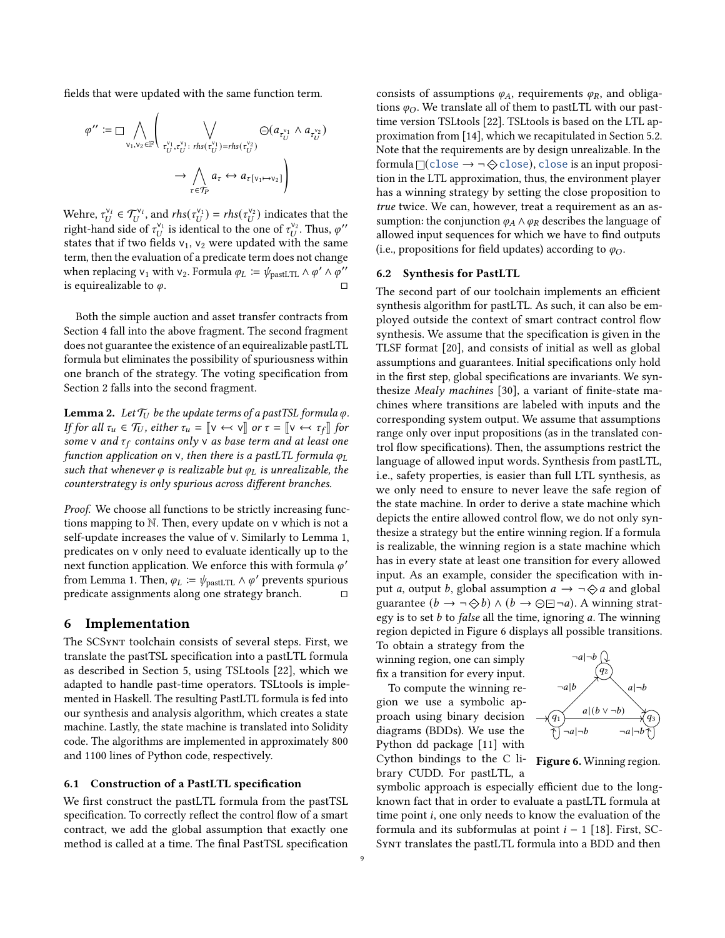fields that were updated with the same function term.

$$
\varphi'' := \square \bigwedge_{v_1, v_2 \in \mathbb{F}} \left( \bigvee_{\substack{r_1^{\vee_1}, r_0^{\vee_1}: \\ r_U^{v_1}, r_U^{v_1}: r h s(r_U^{\vee_1}) = r h s(r_U^{\vee_2})}} \ominus (a_{\tau_U^{\vee_1}} \wedge a_{\tau_U^{\vee_2}}) \right)
$$

$$
\rightarrow \bigwedge_{\tau \in \mathcal{T}_P} a_{\tau} \leftrightarrow a_{\tau[v_1 \mapsto v_2]} \right)
$$

Wehre,  $\tau_U^{v_i} \in \mathcal{T}_U^{v_i}$ , and  $rhs(\tau_U^{v_1}) = rhs(\tau_U^{v_2})$  indicates that the right-hand side of  $\tau_U^{\nu_1}$  is identical to the one of  $\tau_U^{\nu_2}$ . Thus,  $\varphi$ " states that if two fields  $v_1$ ,  $v_2$  were updated with the same term, then the evaluation of a predicate term does not change when replacing  $v_1$  with  $v_2$ . Formula  $\varphi_L := \psi_{\text{pastLTL}} \wedge \varphi' \wedge \varphi''$ is equirealizable to  $\varphi$ .

Both the simple auction and asset transfer contracts from Section [4](#page-5-0) fall into the above fragment. The second fragment does not guarantee the existence of an equirealizable pastLTL formula but eliminates the possibility of spuriousness within one branch of the strategy. The voting specification from Section [2](#page-1-0) falls into the second fragment.

**Lemma 2.** Let  $\mathcal{T}_U$  be the update terms of a pastTSL formula  $\varphi$ . If for all  $\tau_u \in \mathcal{T}_U$ , either  $\tau_u = \llbracket v \leftarrow v \rrbracket$  or  $\tau = \llbracket v \leftarrow \tau_f \rrbracket$  for some v and  $\tau_f$  contains only v as base term and at least one function application on v, then there is a pastLTL formula  $\varphi_L$ such that whenever  $\varphi$  is realizable but  $\varphi_L$  is unrealizable, the counterstrategy is only spurious across different branches.

Proof. We choose all functions to be strictly increasing functions mapping to N. Then, every update on v which is not a self-update increases the value of v. Similarly to Lemma [1,](#page-7-0) predicates on v only need to evaluate identically up to the next function application. We enforce this with formula  $\varphi'$ from Lemma [1.](#page-7-0) Then,  $\varphi_L := \psi_{\text{pastLTL}} \wedge \varphi'$  prevents spurious predicate assignments along one strategy branch.  $□$ 

# <span id="page-8-0"></span>6 Implementation

The SCSynt toolchain consists of several steps. First, we translate the pastTSL specification into a pastLTL formula as described in Section [5,](#page-6-0) using TSLtools [\[22\]](#page-12-9), which we adapted to handle past-time operators. TSLtools is implemented in Haskell. The resulting PastLTL formula is fed into our synthesis and analysis algorithm, which creates a state machine. Lastly, the state machine is translated into Solidity code. The algorithms are implemented in approximately 800 and 1100 lines of Python code, respectively.

#### 6.1 Construction of a PastLTL specification

We first construct the pastLTL formula from the pastTSL specification. To correctly reflect the control flow of a smart contract, we add the global assumption that exactly one method is called at a time. The final PastTSL specification

consists of assumptions  $\varphi_A$ , requirements  $\varphi_R$ , and obligations  $\varphi_O$ . We translate all of them to pastLTL with our pasttime version TSLtools [\[22\]](#page-12-9). TSLtools is based on the LTL approximation from [\[14\]](#page-12-1), which we recapitulated in Section [5.2.](#page-7-1) Note that the requirements are by design unrealizable. In the formula  $\Box$ (close  $\rightarrow \neg \Leftrightarrow$  close), close is an input proposition in the LTL approximation, thus, the environment player has a winning strategy by setting the close proposition to true twice. We can, however, treat a requirement as an assumption: the conjunction  $\varphi_A \wedge \varphi_R$  describes the language of allowed input sequences for which we have to find outputs (i.e., propositions for field updates) according to  $\varphi_O$ .

#### 6.2 Synthesis for PastLTL

The second part of our toolchain implements an efficient synthesis algorithm for pastLTL. As such, it can also be employed outside the context of smart contract control flow synthesis. We assume that the specification is given in the TLSF format [\[20\]](#page-12-10), and consists of initial as well as global assumptions and guarantees. Initial specifications only hold in the first step, global specifications are invariants. We synthesize Mealy machines [\[30\]](#page-13-9), a variant of finite-state machines where transitions are labeled with inputs and the corresponding system output. We assume that assumptions range only over input propositions (as in the translated control flow specifications). Then, the assumptions restrict the language of allowed input words. Synthesis from pastLTL, i.e., safety properties, is easier than full LTL synthesis, as we only need to ensure to never leave the safe region of the state machine. In order to derive a state machine which depicts the entire allowed control flow, we do not only synthesize a strategy but the entire winning region. If a formula is realizable, the winning region is a state machine which has in every state at least one transition for every allowed input. As an example, consider the specification with input *a*, output *b*, global assumption  $a \rightarrow \neg \diamondsuit a$  and global guarantee  $(b \to \neg \Diamond b) \land (b \to \Diamond \Box \neg a)$ . A winning strategy is to set  $b$  to false all the time, ignoring  $a$ . The winning region depicted in Figure [6](#page-8-1) displays all possible transitions.

To obtain a strategy from the winning region, one can simply fix a transition for every input.

To compute the winning region we use a symbolic approach using binary decision diagrams (BDDs). We use the Python dd package [\[11\]](#page-12-11) with Cython bindings to the C library CUDD. For pastLTL, a

<span id="page-8-1"></span>

Figure 6. Winning region.

symbolic approach is especially efficient due to the longknown fact that in order to evaluate a pastLTL formula at time point  $i$ , one only needs to know the evaluation of the formula and its subformulas at point  $i - 1$  [\[18\]](#page-12-4). First, SC-Synt translates the pastLTL formula into a BDD and then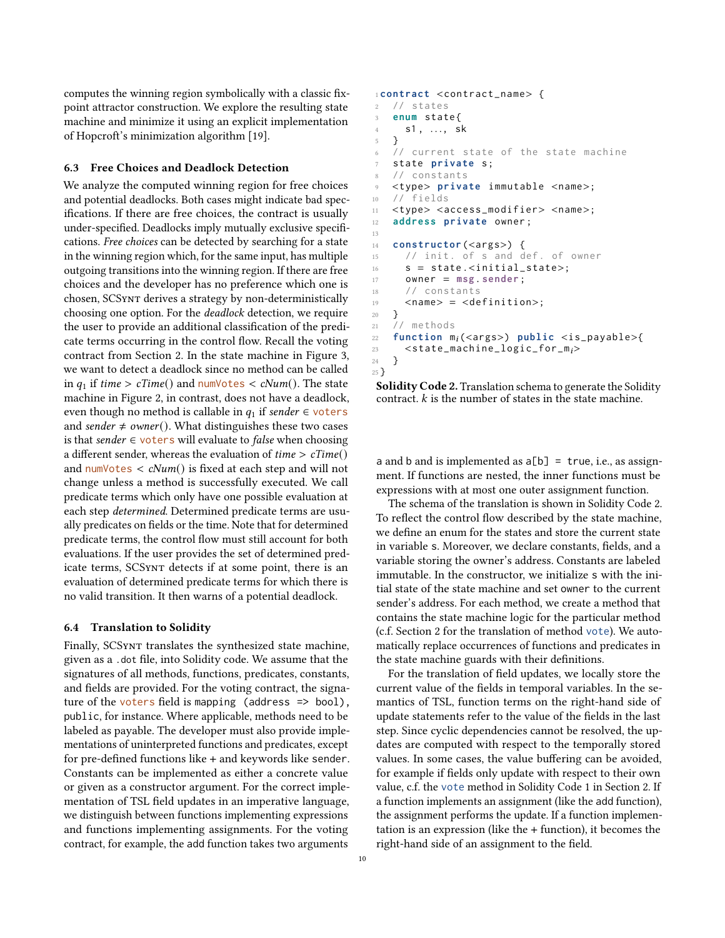computes the winning region symbolically with a classic fixpoint attractor construction. We explore the resulting state machine and minimize it using an explicit implementation of Hopcroft's minimization algorithm [\[19\]](#page-12-12).

#### 6.3 Free Choices and Deadlock Detection

We analyze the computed winning region for free choices and potential deadlocks. Both cases might indicate bad specifications. If there are free choices, the contract is usually under-specified. Deadlocks imply mutually exclusive specifications. Free choices can be detected by searching for a state in the winning region which, for the same input, has multiple outgoing transitions into the winning region. If there are free choices and the developer has no preference which one is chosen, SCSynt derives a strategy by non-deterministically choosing one option. For the deadlock detection, we require the user to provide an additional classification of the predicate terms occurring in the control flow. Recall the voting contract from Section [2.](#page-1-0) In the state machine in Figure [3,](#page-3-0) we want to detect a deadlock since no method can be called in  $q_1$  if time > cTime() and numVotes < cNum(). The state machine in Figure [2,](#page-2-2) in contrast, does not have a deadlock, even though no method is callable in  $q_1$  if sender  $\in$  voters and sender  $\neq$  owner(). What distinguishes these two cases is that sender  $∈$  voters will evaluate to *false* when choosing a different sender, whereas the evaluation of  $time > cTime()$ and numVotes  $\langle cNum() \rangle$  is fixed at each step and will not change unless a method is successfully executed. We call predicate terms which only have one possible evaluation at each step determined. Determined predicate terms are usually predicates on fields or the time. Note that for determined predicate terms, the control flow must still account for both evaluations. If the user provides the set of determined predicate terms, SCSynt detects if at some point, there is an evaluation of determined predicate terms for which there is no valid transition. It then warns of a potential deadlock.

#### 6.4 Translation to Solidity

Finally, SCSynt translates the synthesized state machine, given as a .dot file, into Solidity code. We assume that the signatures of all methods, functions, predicates, constants, and fields are provided. For the voting contract, the signature of the voters field is mapping (address => bool), public, for instance. Where applicable, methods need to be labeled as payable. The developer must also provide implementations of uninterpreted functions and predicates, except for pre-defined functions like + and keywords like sender. Constants can be implemented as either a concrete value or given as a constructor argument. For the correct implementation of TSL field updates in an imperative language, we distinguish between functions implementing expressions and functions implementing assignments. For the voting contract, for example, the add function takes two arguments

```
1 contract <contract_name> {
2 // states
   3 enum state {
4 s1, ..., sk
   \mathcal{F}// current state of the state machine
7 state private s;
8 // constants
9 <type> private immutable <name>;
10 // fields
11 <type> <access_modifier> <name>;
12 address private owner ;
13
14 constructor (<args>) {
15 // init. of s and def. of owner
16 s = state.<initial_state>;
17 owner = msg. sender ;
18 // constants
19 <name> = <definition>;
20 }
21 // methods
22 function m_i(<args>) public <is_payable>{
23 \leqstate_machine_logic_for_m<sub>i</sub>>
24 }
25 }
```
Solidity Code 2. Translation schema to generate the Solidity contract.  $k$  is the number of states in the state machine.

a and b and is implemented as  $a[b] = true$ , i.e., as assignment. If functions are nested, the inner functions must be expressions with at most one outer assignment function.

The schema of the translation is shown in Solidity Code [2.](#page-9-0) To reflect the control flow described by the state machine, we define an enum for the states and store the current state in variable s. Moreover, we declare constants, fields, and a variable storing the owner's address. Constants are labeled immutable. In the constructor, we initialize s with the initial state of the state machine and set owner to the current sender's address. For each method, we create a method that contains the state machine logic for the particular method (c.f. Section [2](#page-1-0) for the translation of method vote). We automatically replace occurrences of functions and predicates in the state machine guards with their definitions.

For the translation of field updates, we locally store the current value of the fields in temporal variables. In the semantics of TSL, function terms on the right-hand side of update statements refer to the value of the fields in the last step. Since cyclic dependencies cannot be resolved, the updates are computed with respect to the temporally stored values. In some cases, the value buffering can be avoided, for example if fields only update with respect to their own value, c.f. the vote method in Solidity Code [1](#page-2-1) in Section [2.](#page-1-0) If a function implements an assignment (like the add function), the assignment performs the update. If a function implementation is an expression (like the + function), it becomes the right-hand side of an assignment to the field.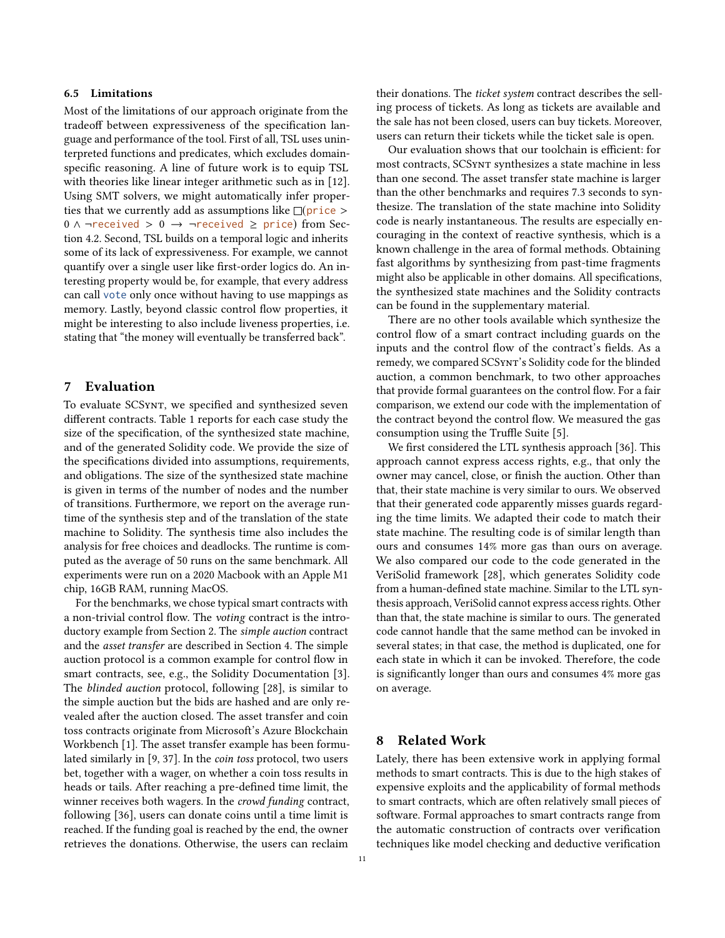## 6.5 Limitations

Most of the limitations of our approach originate from the tradeoff between expressiveness of the specification language and performance of the tool. First of all, TSL uses uninterpreted functions and predicates, which excludes domainspecific reasoning. A line of future work is to equip TSL with theories like linear integer arithmetic such as in [\[12\]](#page-12-13). Using SMT solvers, we might automatically infer properties that we currently add as assumptions like  $\Box$ (price >  $0 \wedge \neg received > 0 \rightarrow \neg received \ge price$  from Section [4.2.](#page-5-2) Second, TSL builds on a temporal logic and inherits some of its lack of expressiveness. For example, we cannot quantify over a single user like first-order logics do. An interesting property would be, for example, that every address can call vote only once without having to use mappings as memory. Lastly, beyond classic control flow properties, it might be interesting to also include liveness properties, i.e. stating that "the money will eventually be transferred back".

# 7 Evaluation

To evaluate SCSynt, we specified and synthesized seven different contracts. Table [1](#page-11-0) reports for each case study the size of the specification, of the synthesized state machine, and of the generated Solidity code. We provide the size of the specifications divided into assumptions, requirements, and obligations. The size of the synthesized state machine is given in terms of the number of nodes and the number of transitions. Furthermore, we report on the average runtime of the synthesis step and of the translation of the state machine to Solidity. The synthesis time also includes the analysis for free choices and deadlocks. The runtime is computed as the average of 50 runs on the same benchmark. All experiments were run on a 2020 Macbook with an Apple M1 chip, 16GB RAM, running MacOS.

For the benchmarks, we chose typical smart contracts with a non-trivial control flow. The voting contract is the introductory example from Section [2.](#page-1-0) The simple auction contract and the asset transfer are described in Section [4.](#page-5-0) The simple auction protocol is a common example for control flow in smart contracts, see, e.g., the Solidity Documentation [\[3\]](#page-12-7). The blinded auction protocol, following [\[28\]](#page-13-5), is similar to the simple auction but the bids are hashed and are only revealed after the auction closed. The asset transfer and coin toss contracts originate from Microsoft's Azure Blockchain Workbench [\[1\]](#page-12-14). The asset transfer example has been formulated similarly in [\[9,](#page-12-2) [37\]](#page-13-3). In the coin toss protocol, two users bet, together with a wager, on whether a coin toss results in heads or tails. After reaching a pre-defined time limit, the winner receives both wagers. In the crowd funding contract, following [\[36\]](#page-13-10), users can donate coins until a time limit is reached. If the funding goal is reached by the end, the owner retrieves the donations. Otherwise, the users can reclaim

their donations. The ticket system contract describes the selling process of tickets. As long as tickets are available and the sale has not been closed, users can buy tickets. Moreover, users can return their tickets while the ticket sale is open.

Our evaluation shows that our toolchain is efficient: for most contracts, SCSynt synthesizes a state machine in less than one second. The asset transfer state machine is larger than the other benchmarks and requires 7.3 seconds to synthesize. The translation of the state machine into Solidity code is nearly instantaneous. The results are especially encouraging in the context of reactive synthesis, which is a known challenge in the area of formal methods. Obtaining fast algorithms by synthesizing from past-time fragments might also be applicable in other domains. All specifications, the synthesized state machines and the Solidity contracts can be found in the supplementary material.

There are no other tools available which synthesize the control flow of a smart contract including guards on the inputs and the control flow of the contract's fields. As a remedy, we compared SCSynt's Solidity code for the blinded auction, a common benchmark, to two other approaches that provide formal guarantees on the control flow. For a fair comparison, we extend our code with the implementation of the contract beyond the control flow. We measured the gas consumption using the Truffle Suite [\[5\]](#page-12-15).

We first considered the LTL synthesis approach [\[36\]](#page-13-10). This approach cannot express access rights, e.g., that only the owner may cancel, close, or finish the auction. Other than that, their state machine is very similar to ours. We observed that their generated code apparently misses guards regarding the time limits. We adapted their code to match their state machine. The resulting code is of similar length than ours and consumes 14% more gas than ours on average. We also compared our code to the code generated in the VeriSolid framework [\[28\]](#page-13-5), which generates Solidity code from a human-defined state machine. Similar to the LTL synthesis approach, VeriSolid cannot express access rights. Other than that, the state machine is similar to ours. The generated code cannot handle that the same method can be invoked in several states; in that case, the method is duplicated, one for each state in which it can be invoked. Therefore, the code is significantly longer than ours and consumes 4% more gas on average.

# 8 Related Work

Lately, there has been extensive work in applying formal methods to smart contracts. This is due to the high stakes of expensive exploits and the applicability of formal methods to smart contracts, which are often relatively small pieces of software. Formal approaches to smart contracts range from the automatic construction of contracts over verification techniques like model checking and deductive verification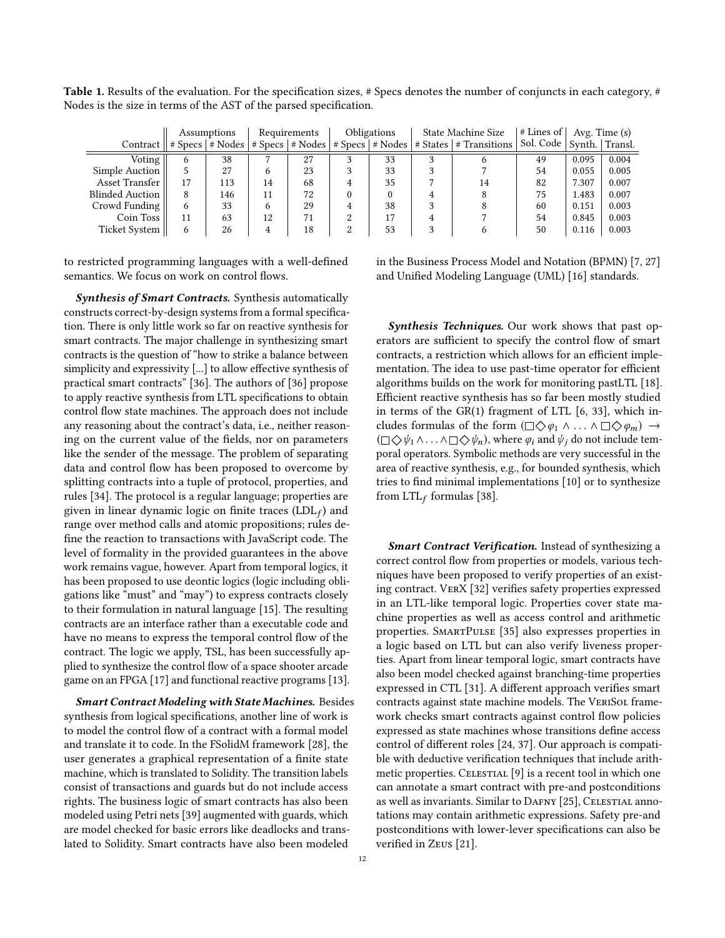<span id="page-11-0"></span>Table 1. Results of the evaluation. For the specification sizes, # Specs denotes the number of conjuncts in each category, # Nodes is the size in terms of the AST of the parsed specification.

|                                                     | Assumptions |     | Requirements |    | Obligations |    | State Machine Size |                                                                          | $\vert$ # Lines of $\vert$   |       | Avg. Time (s) |  |
|-----------------------------------------------------|-------------|-----|--------------|----|-------------|----|--------------------|--------------------------------------------------------------------------|------------------------------|-------|---------------|--|
| Contract $   \# \text{Specs}    \# \text{Nodes}   $ |             |     |              |    |             |    |                    | $\#$ Specs $\#$ Nodes $\#$ Specs $\#$ Nodes $\#$ States $\#$ Transitions | Sol. Code   Synth.   Transl. |       |               |  |
| Voting                                              | 6           | 38  |              | 27 |             | 33 |                    |                                                                          | 49                           | 0.095 | 0.004         |  |
| Simple Auction                                      |             | 27  |              | 23 |             | 33 |                    |                                                                          | 54                           | 0.055 | 0.005         |  |
| Asset Transfer                                      | 17          | 113 | 14           | 68 | 4           | 35 |                    | 14                                                                       | 82                           | 7.307 | 0.007         |  |
| <b>Blinded Auction</b>                              | 8           | 146 |              | 72 |             |    |                    | 8                                                                        | 75                           | 1.483 | 0.007         |  |
| Crowd Funding                                       | 6           | 33  | <sub>6</sub> | 29 |             | 38 |                    |                                                                          | 60                           | 0.151 | 0.003         |  |
| Coin Toss                                           | 11          | 63  | 12           | 71 |             | 17 |                    |                                                                          | 54                           | 0.845 | 0.003         |  |
| Ticket System                                       | 6           | 26  | 4            | 18 |             | 53 |                    |                                                                          | 50                           | 0.116 | 0.003         |  |

to restricted programming languages with a well-defined semantics. We focus on work on control flows.

Synthesis of Smart Contracts. Synthesis automatically constructs correct-by-design systems from a formal specification. There is only little work so far on reactive synthesis for smart contracts. The major challenge in synthesizing smart contracts is the question of "how to strike a balance between simplicity and expressivity [...] to allow effective synthesis of practical smart contracts" [\[36\]](#page-13-10). The authors of [\[36\]](#page-13-10) propose to apply reactive synthesis from LTL specifications to obtain control flow state machines. The approach does not include any reasoning about the contract's data, i.e., neither reasoning on the current value of the fields, nor on parameters like the sender of the message. The problem of separating data and control flow has been proposed to overcome by splitting contracts into a tuple of protocol, properties, and rules [\[34\]](#page-13-11). The protocol is a regular language; properties are given in linear dynamic logic on finite traces (LDL $_f$ ) and range over method calls and atomic propositions; rules define the reaction to transactions with JavaScript code. The level of formality in the provided guarantees in the above work remains vague, however. Apart from temporal logics, it has been proposed to use deontic logics (logic including obligations like "must" and "may") to express contracts closely to their formulation in natural language [\[15\]](#page-12-16). The resulting contracts are an interface rather than a executable code and have no means to express the temporal control flow of the contract. The logic we apply, TSL, has been successfully applied to synthesize the control flow of a space shooter arcade game on an FPGA [\[17\]](#page-12-17) and functional reactive programs [\[13\]](#page-12-18).

Smart Contract Modeling with State Machines. Besides synthesis from logical specifications, another line of work is to model the control flow of a contract with a formal model and translate it to code. In the FSolidM framework [\[28\]](#page-13-5), the user generates a graphical representation of a finite state machine, which is translated to Solidity. The transition labels consist of transactions and guards but do not include access rights. The business logic of smart contracts has also been modeled using Petri nets [\[39\]](#page-13-6) augmented with guards, which are model checked for basic errors like deadlocks and translated to Solidity. Smart contracts have also been modeled

in the Business Process Model and Notation (BPMN) [\[7,](#page-12-0) [27\]](#page-13-4) and Unified Modeling Language (UML) [\[16\]](#page-12-19) standards.

Synthesis Techniques. Our work shows that past operators are sufficient to specify the control flow of smart contracts, a restriction which allows for an efficient implementation. The idea to use past-time operator for efficient algorithms builds on the work for monitoring pastLTL [\[18\]](#page-12-4). Efficient reactive synthesis has so far been mostly studied in terms of the GR(1) fragment of LTL [\[6,](#page-12-20) [33\]](#page-13-12), which includes formulas of the form  $(\Box \Diamond \varphi_1 \land ... \land \Box \Diamond \varphi_m) \rightarrow$  $(\Box \diamondsuit \psi_1 \wedge \ldots \wedge \Box \diamondsuit \psi_n)$ , where  $\varphi_i$  and  $\psi_i$  do not include temporal operators. Symbolic methods are very successful in the area of reactive synthesis, e.g., for bounded synthesis, which tries to find minimal implementations [\[10\]](#page-12-21) or to synthesize from  $LTL_f$  formulas [\[38\]](#page-13-13).

Smart Contract Verification. Instead of synthesizing a correct control flow from properties or models, various techniques have been proposed to verify properties of an existing contract. VerX [\[32\]](#page-13-1) verifies safety properties expressed in an LTL-like temporal logic. Properties cover state machine properties as well as access control and arithmetic properties. SmartPulse [\[35\]](#page-13-2) also expresses properties in a logic based on LTL but can also verify liveness properties. Apart from linear temporal logic, smart contracts have also been model checked against branching-time properties expressed in CTL [\[31\]](#page-13-0). A different approach verifies smart contracts against state machine models. The VERISOL framework checks smart contracts against control flow policies expressed as state machines whose transitions define access control of different roles [\[24,](#page-13-14) [37\]](#page-13-3). Our approach is compatible with deductive verification techniques that include arith-metic properties. CELESTIAL [\[9\]](#page-12-2) is a recent tool in which one can annotate a smart contract with pre-and postconditions as well as invariants. Similar to DAFNY [\[25\]](#page-13-15), CELESTIAL annotations may contain arithmetic expressions. Safety pre-and postconditions with lower-lever specifications can also be verified in Zeus [\[21\]](#page-12-22).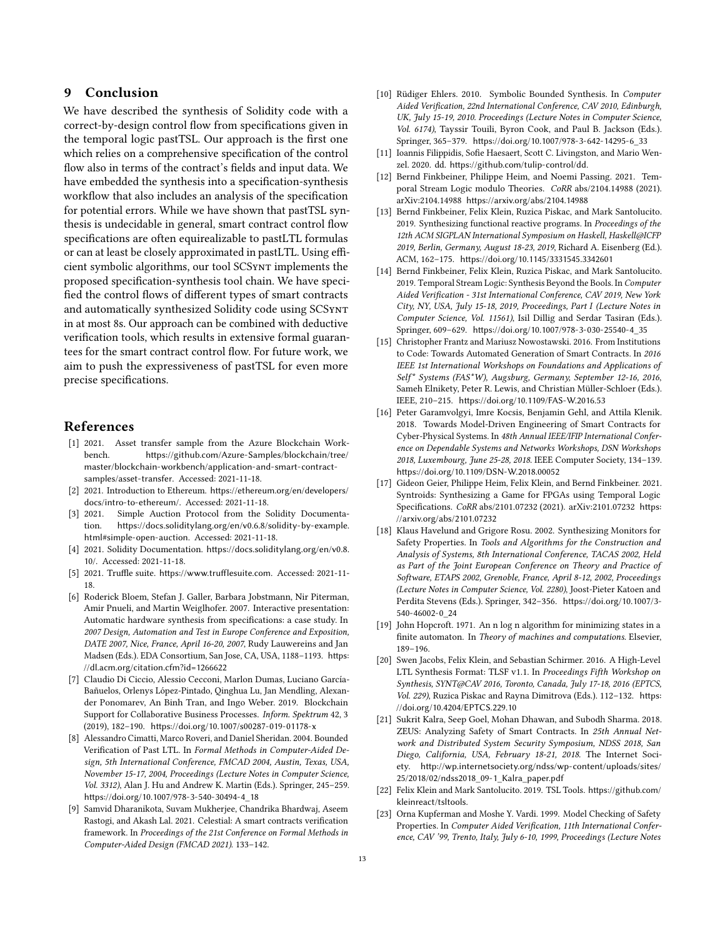# 9 Conclusion

We have described the synthesis of Solidity code with a correct-by-design control flow from specifications given in the temporal logic pastTSL. Our approach is the first one which relies on a comprehensive specification of the control flow also in terms of the contract's fields and input data. We have embedded the synthesis into a specification-synthesis workflow that also includes an analysis of the specification for potential errors. While we have shown that pastTSL synthesis is undecidable in general, smart contract control flow specifications are often equirealizable to pastLTL formulas or can at least be closely approximated in pastLTL. Using efficient symbolic algorithms, our tool SCSynt implements the proposed specification-synthesis tool chain. We have specified the control flows of different types of smart contracts and automatically synthesized Solidity code using SCSynt in at most 8s. Our approach can be combined with deductive verification tools, which results in extensive formal guarantees for the smart contract control flow. For future work, we aim to push the expressiveness of pastTSL for even more precise specifications.

# References

- <span id="page-12-14"></span>[1] 2021. Asset transfer sample from the Azure Blockchain Workbench. [https://github.com/Azure-Samples/blockchain/tree/](https://github.com/Azure-Samples/blockchain/tree/master/blockchain-workbench/application-and-smart-contract-samples/asset-transfer) [master/blockchain-workbench/application-and-smart-contract](https://github.com/Azure-Samples/blockchain/tree/master/blockchain-workbench/application-and-smart-contract-samples/asset-transfer)[samples/asset-transfer](https://github.com/Azure-Samples/blockchain/tree/master/blockchain-workbench/application-and-smart-contract-samples/asset-transfer). Accessed: 2021-11-18.
- <span id="page-12-5"></span>[2] 2021. Introduction to Ethereum. [https://ethereum.org/en/developers/](https://ethereum.org/en/developers/docs/intro-to-ethereum/) [docs/intro-to-ethereum/](https://ethereum.org/en/developers/docs/intro-to-ethereum/). Accessed: 2021-11-18.
- <span id="page-12-7"></span>[3] 2021. Simple Auction Protocol from the Solidity Documentation. [https://docs.soliditylang.org/en/v0.6.8/solidity-by-example.](https://docs.soliditylang.org/en/v0.6.8/solidity-by-example.html#simple-open-auction) [html#simple-open-auction](https://docs.soliditylang.org/en/v0.6.8/solidity-by-example.html#simple-open-auction). Accessed: 2021-11-18.
- <span id="page-12-6"></span>[4] 2021. Solidity Documentation. [https://docs.soliditylang.org/en/v0.8.](https://docs.soliditylang.org/en/v0.8.10/) [10/](https://docs.soliditylang.org/en/v0.8.10/). Accessed: 2021-11-18.
- <span id="page-12-15"></span>[5] 2021. Truffle suite. <https://www.trufflesuite.com>. Accessed: 2021-11- 18.
- <span id="page-12-20"></span>[6] Roderick Bloem, Stefan J. Galler, Barbara Jobstmann, Nir Piterman, Amir Pnueli, and Martin Weiglhofer. 2007. Interactive presentation: Automatic hardware synthesis from specifications: a case study. In 2007 Design, Automation and Test in Europe Conference and Exposition, DATE 2007, Nice, France, April 16-20, 2007, Rudy Lauwereins and Jan Madsen (Eds.). EDA Consortium, San Jose, CA, USA, 1188–1193. [https:](https://dl.acm.org/citation.cfm?id=1266622) [//dl.acm.org/citation.cfm?id=1266622](https://dl.acm.org/citation.cfm?id=1266622)
- <span id="page-12-0"></span>[7] Claudio Di Ciccio, Alessio Cecconi, Marlon Dumas, Luciano García-Bañuelos, Orlenys López-Pintado, Qinghua Lu, Jan Mendling, Alexander Ponomarev, An Binh Tran, and Ingo Weber. 2019. Blockchain Support for Collaborative Business Processes. Inform. Spektrum 42, 3 (2019), 182–190. <https://doi.org/10.1007/s00287-019-01178-x>
- <span id="page-12-3"></span>[8] Alessandro Cimatti, Marco Roveri, and Daniel Sheridan. 2004. Bounded Verification of Past LTL. In Formal Methods in Computer-Aided Design, 5th International Conference, FMCAD 2004, Austin, Texas, USA, November 15-17, 2004, Proceedings (Lecture Notes in Computer Science, Vol. 3312), Alan J. Hu and Andrew K. Martin (Eds.). Springer, 245–259. [https://doi.org/10.1007/978-3-540-30494-4\\_18](https://doi.org/10.1007/978-3-540-30494-4_18)
- <span id="page-12-2"></span>[9] Samvid Dharanikota, Suvam Mukherjee, Chandrika Bhardwaj, Aseem Rastogi, and Akash Lal. 2021. Celestial: A smart contracts verification framework. In Proceedings of the 21st Conference on Formal Methods in Computer-Aided Design (FMCAD 2021). 133–142.
- <span id="page-12-21"></span>[10] Rüdiger Ehlers. 2010. Symbolic Bounded Synthesis. In Computer Aided Verification, 22nd International Conference, CAV 2010, Edinburgh, UK, July 15-19, 2010. Proceedings (Lecture Notes in Computer Science, Vol. 6174), Tayssir Touili, Byron Cook, and Paul B. Jackson (Eds.). Springer, 365–379. [https://doi.org/10.1007/978-3-642-14295-6\\_33](https://doi.org/10.1007/978-3-642-14295-6_33)
- <span id="page-12-11"></span>[11] Ioannis Filippidis, Sofie Haesaert, Scott C. Livingston, and Mario Wenzel. 2020. dd. <https://github.com/tulip-control/dd>.
- <span id="page-12-13"></span>[12] Bernd Finkbeiner, Philippe Heim, and Noemi Passing. 2021. Temporal Stream Logic modulo Theories. CoRR abs/2104.14988 (2021). arXiv:2104.14988 <https://arxiv.org/abs/2104.14988>
- <span id="page-12-18"></span>[13] Bernd Finkbeiner, Felix Klein, Ruzica Piskac, and Mark Santolucito. 2019. Synthesizing functional reactive programs. In Proceedings of the 12th ACM SIGPLAN International Symposium on Haskell, Haskell@ICFP 2019, Berlin, Germany, August 18-23, 2019, Richard A. Eisenberg (Ed.). ACM, 162–175. <https://doi.org/10.1145/3331545.3342601>
- <span id="page-12-1"></span>[14] Bernd Finkbeiner, Felix Klein, Ruzica Piskac, and Mark Santolucito. 2019. Temporal Stream Logic: Synthesis Beyond the Bools. In Computer Aided Verification - 31st International Conference, CAV 2019, New York City, NY, USA, July 15-18, 2019, Proceedings, Part I (Lecture Notes in Computer Science, Vol. 11561), Isil Dillig and Serdar Tasiran (Eds.). Springer, 609–629. [https://doi.org/10.1007/978-3-030-25540-4\\_35](https://doi.org/10.1007/978-3-030-25540-4_35)
- <span id="page-12-16"></span>[15] Christopher Frantz and Mariusz Nowostawski. 2016. From Institutions to Code: Towards Automated Generation of Smart Contracts. In 2016 IEEE 1st International Workshops on Foundations and Applications of Self\* Systems (FAS\*W), Augsburg, Germany, September 12-16, 2016, Sameh Elnikety, Peter R. Lewis, and Christian Müller-Schloer (Eds.). IEEE, 210–215. <https://doi.org/10.1109/FAS-W.2016.53>
- <span id="page-12-19"></span>[16] Peter Garamvolgyi, Imre Kocsis, Benjamin Gehl, and Attila Klenik. 2018. Towards Model-Driven Engineering of Smart Contracts for Cyber-Physical Systems. In 48th Annual IEEE/IFIP International Conference on Dependable Systems and Networks Workshops, DSN Workshops 2018, Luxembourg, June 25-28, 2018. IEEE Computer Society, 134–139. <https://doi.org/10.1109/DSN-W.2018.00052>
- <span id="page-12-17"></span>[17] Gideon Geier, Philippe Heim, Felix Klein, and Bernd Finkbeiner. 2021. Syntroids: Synthesizing a Game for FPGAs using Temporal Logic Specifications. CoRR abs/2101.07232 (2021). arXiv:2101.07232 [https:](https://arxiv.org/abs/2101.07232) [//arxiv.org/abs/2101.07232](https://arxiv.org/abs/2101.07232)
- <span id="page-12-4"></span>[18] Klaus Havelund and Grigore Rosu. 2002. Synthesizing Monitors for Safety Properties. In Tools and Algorithms for the Construction and Analysis of Systems, 8th International Conference, TACAS 2002, Held as Part of the Joint European Conference on Theory and Practice of Software, ETAPS 2002, Grenoble, France, April 8-12, 2002, Proceedings (Lecture Notes in Computer Science, Vol. 2280), Joost-Pieter Katoen and Perdita Stevens (Eds.). Springer, 342–356. [https://doi.org/10.1007/3-](https://doi.org/10.1007/3-540-46002-0_24) [540-46002-0\\_24](https://doi.org/10.1007/3-540-46002-0_24)
- <span id="page-12-12"></span>[19] John Hopcroft. 1971. An n log n algorithm for minimizing states in a finite automaton. In Theory of machines and computations. Elsevier, 189–196.
- <span id="page-12-10"></span>[20] Swen Jacobs, Felix Klein, and Sebastian Schirmer. 2016. A High-Level LTL Synthesis Format: TLSF v1.1. In Proceedings Fifth Workshop on Synthesis, SYNT@CAV 2016, Toronto, Canada, July 17-18, 2016 (EPTCS, Vol. 229), Ruzica Piskac and Rayna Dimitrova (Eds.). 112–132. [https:](https://doi.org/10.4204/EPTCS.229.10) [//doi.org/10.4204/EPTCS.229.10](https://doi.org/10.4204/EPTCS.229.10)
- <span id="page-12-22"></span>[21] Sukrit Kalra, Seep Goel, Mohan Dhawan, and Subodh Sharma. 2018. ZEUS: Analyzing Safety of Smart Contracts. In 25th Annual Network and Distributed System Security Symposium, NDSS 2018, San Diego, California, USA, February 18-21, 2018. The Internet Society. [http://wp.internetsociety.org/ndss/wp-content/uploads/sites/](http://wp.internetsociety.org/ndss/wp-content/uploads/sites/25/2018/02/ndss2018_09-1_Kalra_paper.pdf) [25/2018/02/ndss2018\\_09-1\\_Kalra\\_paper.pdf](http://wp.internetsociety.org/ndss/wp-content/uploads/sites/25/2018/02/ndss2018_09-1_Kalra_paper.pdf)
- <span id="page-12-9"></span>[22] Felix Klein and Mark Santolucito. 2019. TSL Tools. [https://github.com/](https://github.com/kleinreact/tsltools) [kleinreact/tsltools](https://github.com/kleinreact/tsltools).
- <span id="page-12-8"></span>[23] Orna Kupferman and Moshe Y. Vardi. 1999. Model Checking of Safety Properties. In Computer Aided Verification, 11th International Conference, CAV '99, Trento, Italy, July 6-10, 1999, Proceedings (Lecture Notes